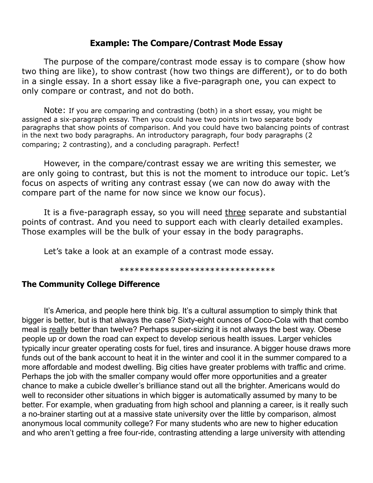### **Example: The Compare/Contrast Mode Essay**

The purpose of the compare/contrast mode essay is to compare (show how two thing are like), to show contrast (how two things are different), or to do both in a single essay. In a short essay like a five-paragraph one, you can expect to only compare or contrast, and not do both.

Note: If you are comparing and contrasting (both) in a short essay, you might be assigned a six-paragraph essay. Then you could have two points in two separate body paragraphs that show points of comparison. And you could have two balancing points of contrast in the next two body paragraphs. An introductory paragraph, four body paragraphs (2 comparing; 2 contrasting), and a concluding paragraph. Perfect!

However, in the compare/contrast essay we are writing this semester, we are only going to contrast, but this is not the moment to introduce our topic. Let's focus on aspects of writing any contrast essay (we can now do away with the compare part of the name for now since we know our focus).

It is a five-paragraph essay, so you will need three separate and substantial points of contrast. And you need to support each with clearly detailed examples. Those examples will be the bulk of your essay in the body paragraphs.

Let's take a look at an example of a contrast mode essay.

\*\*\*\*\*\*\*\*\*\*\*\*\*\*\*\*\*\*\*\*\*\*\*\*\*\*\*\*\*\*\*

#### **The Community College Difference**

It's America, and people here think big. It's a cultural assumption to simply think that bigger is better, but is that always the case? Sixty-eight ounces of Coco-Cola with that combo meal is really better than twelve? Perhaps super-sizing it is not always the best way. Obese people up or down the road can expect to develop serious health issues. Larger vehicles typically incur greater operating costs for fuel, tires and insurance. A bigger house draws more funds out of the bank account to heat it in the winter and cool it in the summer compared to a more affordable and modest dwelling. Big cities have greater problems with traffic and crime. Perhaps the job with the smaller company would offer more opportunities and a greater chance to make a cubicle dweller's brilliance stand out all the brighter. Americans would do well to reconsider other situations in which bigger is automatically assumed by many to be better. For example, when graduating from high school and planning a career, is it really such a no-brainer starting out at a massive state university over the little by comparison, almost anonymous local community college? For many students who are new to higher education and who aren't getting a free four-ride, contrasting attending a large university with attending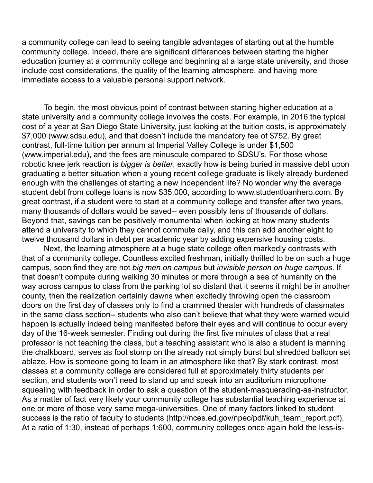a community college can lead to seeing tangible advantages of starting out at the humble community college. Indeed, there are significant differences between starting the higher education journey at a community college and beginning at a large state university, and those include cost considerations, the quality of the learning atmosphere, and having more immediate access to a valuable personal support network.

To begin, the most obvious point of contrast between starting higher education at a state university and a community college involves the costs. For example, in 2016 the typical cost of a year at San Diego State University, just looking at the tuition costs, is approximately \$7,000 (www.sdsu.edu), and that doesn't include the mandatory fee of \$752. By great contrast, full-time tuition per annum at Imperial Valley College is under \$1,500 (www.imperial.edu), and the fees are minuscule compared to SDSU's. For those whose robotic knee jerk reaction is *bigger is better*, exactly how is being buried in massive debt upon graduating a better situation when a young recent college graduate is likely already burdened enough with the challenges of starting a new independent life? No wonder why the average student debt from college loans is now \$35,000, according to www.studentloanhero.com. By great contrast, if a student were to start at a community college and transfer after two years, many thousands of dollars would be saved-- even possibly tens of thousands of dollars. Beyond that, savings can be positively monumental when looking at how many students attend a university to which they cannot commute daily, and this can add another eight to twelve thousand dollars in debt per academic year by adding expensive housing costs.

Next, the learning atmosphere at a huge state college often markedly contrasts with that of a community college. Countless excited freshman, initially thrilled to be on such a huge campus, soon find they are not *big men on campus* but *invisible person on huge campus*. If that doesn't compute during walking 30 minutes or more through a sea of humanity on the way across campus to class from the parking lot so distant that it seems it might be in another county, then the realization certainly dawns when excitedly throwing open the classroom doors on the first day of classes only to find a crammed theater with hundreds of classmates in the same class section-- students who also can't believe that what they were warned would happen is actually indeed being manifested before their eyes and will continue to occur every day of the 16-week semester. Finding out during the first five minutes of class that a real professor is not teaching the class, but a teaching assistant who is also a student is manning the chalkboard, serves as foot stomp on the already not simply burst but shredded balloon set ablaze. How is someone going to learn in an atmosphere like that? By stark contrast, most classes at a community college are considered full at approximately thirty students per section, and students won't need to stand up and speak into an auditorium microphone squealing with feedback in order to ask a question of the student-masquerading-as-instructor. As a matter of fact very likely your community college has substantial teaching experience at one or more of those very same mega-universities. One of many factors linked to student success is the ratio of faculty to students (http://nces.ed.gov/npec/pdf/kuh\_team\_report.pdf). At a ratio of 1:30, instead of perhaps 1:600, community colleges once again hold the less-is-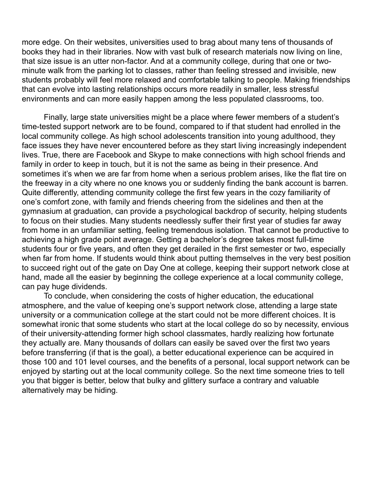more edge. On their websites, universities used to brag about many tens of thousands of books they had in their libraries. Now with vast bulk of research materials now living on line, that size issue is an utter non-factor. And at a community college, during that one or twominute walk from the parking lot to classes, rather than feeling stressed and invisible, new students probably will feel more relaxed and comfortable talking to people. Making friendships that can evolve into lasting relationships occurs more readily in smaller, less stressful environments and can more easily happen among the less populated classrooms, too.

Finally, large state universities might be a place where fewer members of a student's time-tested support network are to be found, compared to if that student had enrolled in the local community college. As high school adolescents transition into young adulthood, they face issues they have never encountered before as they start living increasingly independent lives. True, there are Facebook and Skype to make connections with high school friends and family in order to keep in touch, but it is not the same as being in their presence. And sometimes it's when we are far from home when a serious problem arises, like the flat tire on the freeway in a city where no one knows you or suddenly finding the bank account is barren. Quite differently, attending community college the first few years in the cozy familiarity of one's comfort zone, with family and friends cheering from the sidelines and then at the gymnasium at graduation, can provide a psychological backdrop of security, helping students to focus on their studies. Many students needlessly suffer their first year of studies far away from home in an unfamiliar setting, feeling tremendous isolation. That cannot be productive to achieving a high grade point average. Getting a bachelor's degree takes most full-time students four or five years, and often they get derailed in the first semester or two, especially when far from home. If students would think about putting themselves in the very best position to succeed right out of the gate on Day One at college, keeping their support network close at hand, made all the easier by beginning the college experience at a local community college, can pay huge dividends.

To conclude, when considering the costs of higher education, the educational atmosphere, and the value of keeping one's support network close, attending a large state university or a communication college at the start could not be more different choices. It is somewhat ironic that some students who start at the local college do so by necessity, envious of their university-attending former high school classmates, hardly realizing how fortunate they actually are. Many thousands of dollars can easily be saved over the first two years before transferring (if that is the goal), a better educational experience can be acquired in those 100 and 101 level courses, and the benefits of a personal, local support network can be enjoyed by starting out at the local community college. So the next time someone tries to tell you that bigger is better, below that bulky and glittery surface a contrary and valuable alternatively may be hiding.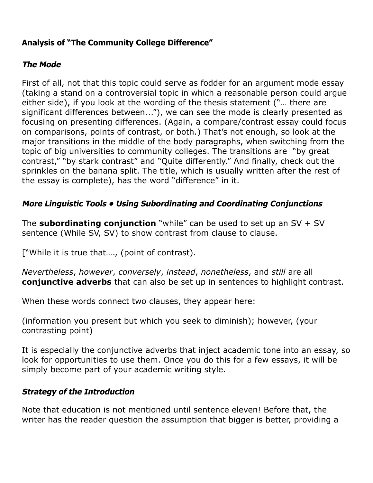# **Analysis of "The Community College Difference"**

## **The Mode**

First of all, not that this topic could serve as fodder for an argument mode essay (taking a stand on a controversial topic in which a reasonable person could argue either side), if you look at the wording of the thesis statement ("… there are significant differences between..."), we can see the mode is clearly presented as focusing on presenting differences. (Again, a compare/contrast essay could focus on comparisons, points of contrast, or both.) That's not enough, so look at the major transitions in the middle of the body paragraphs, when switching from the topic of big universities to community colleges. The transitions are "by great contrast," "by stark contrast" and "Quite differently." And finally, check out the sprinkles on the banana split. The title, which is usually written after the rest of the essay is complete), has the word "difference" in it.

## **More Linguistic Tools • Using Subordinating and Coordinating Conjunctions**

The **subordinating conjunction** "while" can be used to set up an SV + SV sentence (While SV, SV) to show contrast from clause to clause.

["While it is true that…., (point of contrast).

*Nevertheless*, *however*, *conversely*, *instead*, *nonetheless*, and *still* are all **conjunctive adverbs** that can also be set up in sentences to highlight contrast.

When these words connect two clauses, they appear here:

(information you present but which you seek to diminish); however, (your contrasting point)

It is especially the conjunctive adverbs that inject academic tone into an essay, so look for opportunities to use them. Once you do this for a few essays, it will be simply become part of your academic writing style.

#### **Strategy of the Introduction**

Note that education is not mentioned until sentence eleven! Before that, the writer has the reader question the assumption that bigger is better, providing a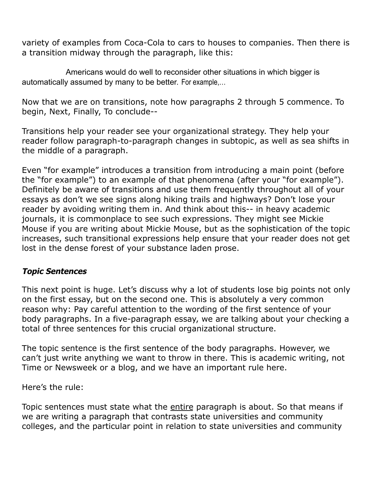variety of examples from Coca-Cola to cars to houses to companies. Then there is a transition midway through the paragraph, like this:

Americans would do well to reconsider other situations in which bigger is automatically assumed by many to be better. For example,…

Now that we are on transitions, note how paragraphs 2 through 5 commence. To begin, Next, Finally, To conclude--

Transitions help your reader see your organizational strategy. They help your reader follow paragraph-to-paragraph changes in subtopic, as well as sea shifts in the middle of a paragraph.

Even "for example" introduces a transition from introducing a main point (before the "for example") to an example of that phenomena (after your "for example"). Definitely be aware of transitions and use them frequently throughout all of your essays as don't we see signs along hiking trails and highways? Don't lose your reader by avoiding writing them in. And think about this-- in heavy academic journals, it is commonplace to see such expressions. They might see Mickie Mouse if you are writing about Mickie Mouse, but as the sophistication of the topic increases, such transitional expressions help ensure that your reader does not get lost in the dense forest of your substance laden prose.

#### **Topic Sentences**

This next point is huge. Let's discuss why a lot of students lose big points not only on the first essay, but on the second one. This is absolutely a very common reason why: Pay careful attention to the wording of the first sentence of your body paragraphs. In a five-paragraph essay, we are talking about your checking a total of three sentences for this crucial organizational structure.

The topic sentence is the first sentence of the body paragraphs. However, we can't just write anything we want to throw in there. This is academic writing, not Time or Newsweek or a blog, and we have an important rule here.

Here's the rule:

Topic sentences must state what the entire paragraph is about. So that means if we are writing a paragraph that contrasts state universities and community colleges, and the particular point in relation to state universities and community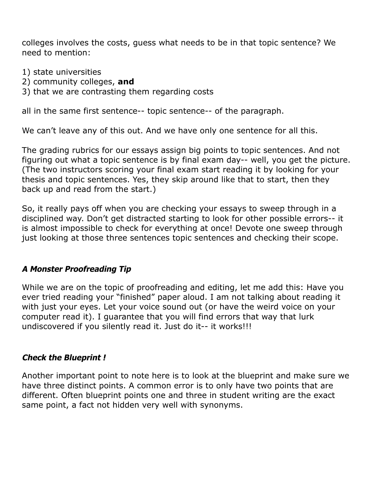colleges involves the costs, guess what needs to be in that topic sentence? We need to mention:

- 1) state universities
- 2) community colleges, **and**
- 3) that we are contrasting them regarding costs

all in the same first sentence-- topic sentence-- of the paragraph.

We can't leave any of this out. And we have only one sentence for all this.

The grading rubrics for our essays assign big points to topic sentences. And not figuring out what a topic sentence is by final exam day-- well, you get the picture. (The two instructors scoring your final exam start reading it by looking for your thesis and topic sentences. Yes, they skip around like that to start, then they back up and read from the start.)

So, it really pays off when you are checking your essays to sweep through in a disciplined way. Don't get distracted starting to look for other possible errors-- it is almost impossible to check for everything at once! Devote one sweep through just looking at those three sentences topic sentences and checking their scope.

#### **A Monster Proofreading Tip**

While we are on the topic of proofreading and editing, let me add this: Have you ever tried reading your "finished" paper aloud. I am not talking about reading it with just your eyes. Let your voice sound out (or have the weird voice on your computer read it). I guarantee that you will find errors that way that lurk undiscovered if you silently read it. Just do it-- it works!!!

#### **Check the Blueprint !**

Another important point to note here is to look at the blueprint and make sure we have three distinct points. A common error is to only have two points that are different. Often blueprint points one and three in student writing are the exact same point, a fact not hidden very well with synonyms.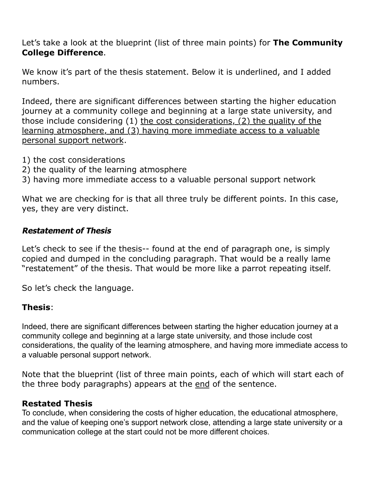Let's take a look at the blueprint (list of three main points) for **The Community College Difference**.

We know it's part of the thesis statement. Below it is underlined, and I added numbers.

Indeed, there are significant differences between starting the higher education journey at a community college and beginning at a large state university, and those include considering (1) the cost considerations, (2) the quality of the learning atmosphere, and (3) having more immediate access to a valuable personal support network.

- 1) the cost considerations
- 2) the quality of the learning atmosphere
- 3) having more immediate access to a valuable personal support network

What we are checking for is that all three truly be different points. In this case, yes, they are very distinct.

#### **Restatement of Thesis**

Let's check to see if the thesis-- found at the end of paragraph one, is simply copied and dumped in the concluding paragraph. That would be a really lame "restatement" of the thesis. That would be more like a parrot repeating itself.

So let's check the language.

#### **Thesis**:

Indeed, there are significant differences between starting the higher education journey at a community college and beginning at a large state university, and those include cost considerations, the quality of the learning atmosphere, and having more immediate access to a valuable personal support network.

Note that the blueprint (list of three main points, each of which will start each of the three body paragraphs) appears at the end of the sentence.

#### **Restated Thesis**

To conclude, when considering the costs of higher education, the educational atmosphere, and the value of keeping one's support network close, attending a large state university or a communication college at the start could not be more different choices.